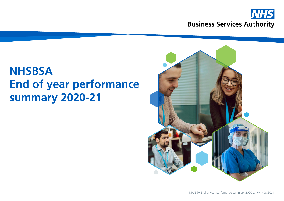

# **NHSBSA End of year performance summary 2020-21**

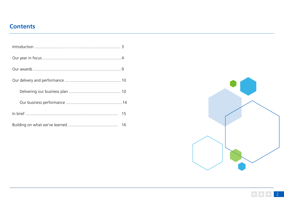## **Contents**



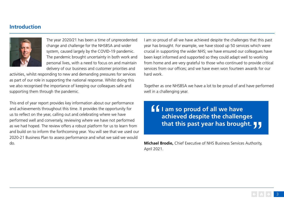## **Introduction**



The year 2020/21 has been a time of unprecedented change and challenge for the NHSBSA and wider system, caused largely by the COVID-19 pandemic. The pandemic brought uncertainty in both work and personal lives, with a need to focus on and maintain delivery of our business and customer priorities and

activities, whilst responding to new and demanding pressures for services as part of our role in supporting the national response. Whilst doing this we also recognised the importance of keeping our colleagues safe and supporting them through the pandemic.

This end of year report provides key information about our performance and achievements throughout this time. It provides the opportunity for us to reflect on the year, calling out and celebrating where we have performed well and conversely, reviewing where we have not performed as we had hoped. The review offers a robust platform for us to learn from and build on to inform the forthcoming year. You will see that we used our 2020-21 Business Plan to assess performance and what we said we would do.

I am so proud of all we have achieved despite the challenges that this past year has brought. For example, we have stood up 50 services which were crucial in supporting the wider NHS; we have ensured our colleagues have been kept informed and supported so they could adapt well to working from home and are very grateful to those who continued to provide critical services from our offices; and we have even won fourteen awards for our hard work.

Together as one NHSBSA we have a lot to be proud of and have performed well in a challenging year.

**I** am so proud of all we have<br>achieved despite the challeng<br>that this past year has brougl **achieved despite the challenges that this past year has brought.** 

**Michael Brodie,** Chief Executive of NHS Business Services Authority, April 2021.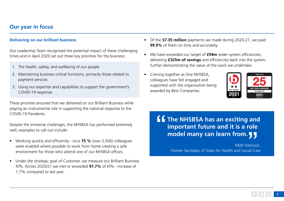## **Our year in focus**

### **Delivering on our brilliant business**

Our Leadership Team recognised the potential impact of these challenging times and in April 2020 set out three key priorities for the business:

- 1. The health, safety, and wellbeing of our people
- 2. Maintaining business critical functions, primarily those related to payment services
- 3. Using our expertise and capabilities to support the government's COVID-19 response

These priorities ensured that we delivered on our Brilliant Business while playing an instrumental role in supporting the national response to the COVID-19 Pandemic.

Despite the immense challenges, the NHSBSA has performed extremely well, examples to call out include:

- Working quickly and efficiently circa **75 %** (over 2,500) colleagues were enabled where possible to work from home creating a safe environment for those who attend one of our NHSBSA offices.
- Under the strategic goal of Customer, we measure our Brilliant Business KPIs. Across 2020/21 we met or exceeded **91.7%** of KPIs - increase of 1.7% compared to last year.
- Of the **57.35 million** payments we made during 2020-21, we paid **99.9%** of them on time and accurately.
- We have exceeded our target of **£94m** wider system efficiencies, delivering **£325m of savings** and efficiencies back into the system, further demonstrating the value of the work we undertake.
- Coming together as One NHSBSA, colleagues have felt engaged and supported with the organisation being awarded by Best Companies.



**The NHSBSA has an exciting and<br>
important future and it is a role<br>
model many can learn from. <b>JJ important future and it is a role** 

**model many can learn from.**<br>Matt Hancock<br>Former Secretary of State for Health and Social Car Former Secretary of State for Health and Social Care Matt Hancock,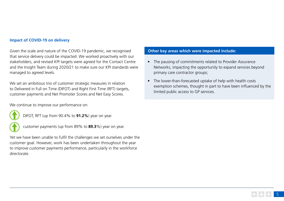#### **Impact of COVID-19 on delivery**

Given the scale and nature of the COVID-19 pandemic, we recognised that service delivery could be impacted. We worked proactively with our stakeholders, and revised KPI targets were agreed for the Contact Centre and the Insight Team during 2020/21 to make sure our KPI standards were managed to agreed levels.

We set an ambitious trio of customer strategic measures in relation to Delivered in Full on Time (DIFOT) and Right First Time (RFT) targets, customer payments and Net Promoter Scores and Net Easy Scores.

We continue to improve our performance on:



DIFOT, RFT (up from 90.4% to **91.2%**) year on year



customer payments (up from 89% to **89.3**%) year on year.

Yet we have been unable to fulfil the challenges we set ourselves under the customer goal. However, work has been undertaken throughout the year to improve customer payments performance, particularly in the workforce directorate.

## **Other key areas which were impacted include:**

- The pausing of commitments related to Provider Assurance Networks, impacting the opportunity to expand services beyond primary care contractor groups;
- The lower-than-forecasted uptake of help with health costs exemption schemes, thought in part to have been influenced by the limited public access to GP services.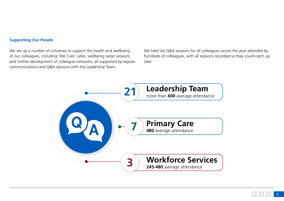### **Supporting Our People**

We set up a number of initiatives to support the health and wellbeing of our colleagues, including 'We Care' cafes, wellbeing taster sessions and further development of colleague networks, all supported by regular communications and Q&A sessions with the Leadership Team.

We held live Q&A sessions for all colleagues across the year attended by hundreds of colleagues, with all sessions recorded so they could catch up later.

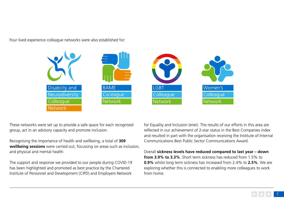Four lived experience colleague networks were also established for:



These networks were set up to provide a safe space for each recognised group, act in an advisory capacity and promote inclusion.

Recognising the importance of health and wellbeing, a total of **309 wellbeing sessions** were carried out, focussing on areas such as inclusion, and physical and mental health.

The support and response we provided to our people during COVID-19 has been highlighted and promoted as best practice by the Chartered Institute of Personnel and Development (CIPD) and Employers Network

for Equality and Inclusion (enei). The results of our efforts in this area are reflected in our achievement of 2-star status in the Best Companies index and resulted in part with the organisation receiving the Institute of Internal Communications Best Public Sector Communications Award.

Overall **sickness levels have reduced compared to last year – down from 3.9% to 3.3%**. Short term sickness has reduced from 1.5% to **0.9%** whilst long term sickness has increased from 2.4% to **2.5%**. We are exploring whether this is connected to enabling more colleagues to work from home.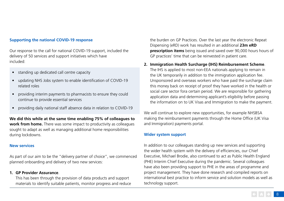### **Supporting the national COVID-19 response**

Our response to the call for national COVID-19 support, included the delivery of 50 services and support initiatives which have included:

- standing up dedicated call centre capacity
- updating NHS Jobs system to enable identification of COVID-19 related roles
- providing interim payments to pharmacists to ensure they could continue to provide essential services
- providing daily national staff absence data in relation to COVID-19

**We did this while at the same time enabling 75% of colleagues to work from home.** There was some impact to productivity as colleagues sought to adapt as well as managing additional home responsibilities during lockdowns.

### **New services**

As part of our aim to be the "delivery partner of choice", we commenced planned onboarding and delivery of two new services:

#### **1. GP Provider Assurance**.

This has been through the provision of data products and support materials to identify suitable patients, monitor progress and reduce the burden on GP Practices. Over the last year the electronic Repeat Dispensing (eRD) work has resulted in an additional **23m eRD prescription items** being issued and saved over 90,000 hours hours of GP practices' time that can be reinvested in patient care.

#### **2. Immigration Health Surcharge (IHS) Reimbursement Scheme**.

The IHS is applied to most non-EEA nationals applying to remain in the UK temporarily in addition to the immigration application fee. Unsponsored and overseas workers who have paid the surcharge claim this money back on receipt of proof they have worked in the health or social care sector fora certain period. We are responsible for gathering application data and determining applicant's eligibility before passing the information on to UK Visas and Immigration to make the payment.

We will continue to explore new opportunities, for example NHSBSA making the reimbursement payments through the Home Office (UK Visa and Immigration) payments portal.

#### **Wider system support**

In addition to our colleagues standing up new services and supporting the wider health system with the delivery of efficiencies, our Chief Executive, Michael Brodie, also continued to act as Public Health England (PHE) Interim Chief Executive during the pandemic. Several colleagues have also been providing support to PHE in the areas of programme and project management. They have done research and compiled reports on international best practice to inform service and solution models as well as technology support.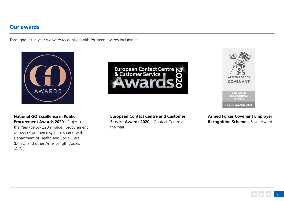## **Our awards**

Throughout the year we were recognised with fourteen awards including:



**National GO Excellence in Public Procurement Awards 2020** - Project of the Year (below £20m value) (procurement of new eCommerce system, shared with Department of Health and Social Care (DHSC) and other Arms Length Bodies (ALBs)





**European Contact Centre and Customer Service Awards 2020** – Contact Centre of the Year

**Armed Forces Covenant Employer Recognition Scheme** – Silver Award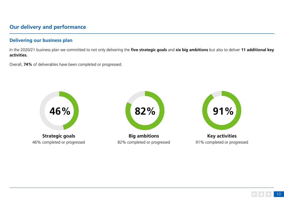## **Our delivery and performance**

## **Delivering our business plan**

In the 2020/21 business plan we committed to not only delivering the **five strategic goals** and **six big ambitions** but also to deliver **11 additional key activities.**

Overall, **74%** of deliverables have been completed or progressed:

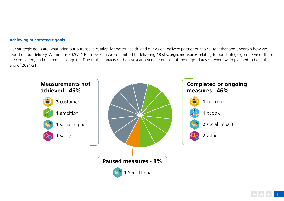## **Achieving our strategic goals**

Our strategic goals are what bring our purpose 'a catalyst for better health' and our vision 'delivery partner of choice' together and underpin how we report on our delivery. Within our 2020/21 Business Plan we committed to delivering **13 strategic measures** relating to our strategic goals. Five of these are completed, and one remains ongoing. Due to the impacts of the last year seven are outside of the target dates of where we'd planned to be at the end of 2021/21.

![](_page_10_Figure_2.jpeg)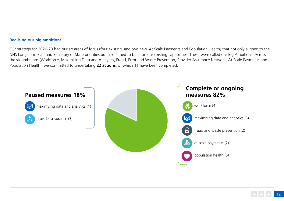#### **Realising our big ambitions**

Our strategy for 2020-23 had our six areas of focus (four existing, and two new, At Scale Payments and Population Health) that not only aligned to the NHS Long-Term Plan and Secretary of State priorities but also aimed to build on our existing capabilities. These were called our Big Ambitions. Across the six ambitions (Workforce, Maximising Data and Analytics, Fraud, Error and Waste Prevention, Provider Assurance Network, At Scale Payments and Population Health), we committed to undertaking **22 actions**, of which 11 have been completed.

![](_page_11_Figure_2.jpeg)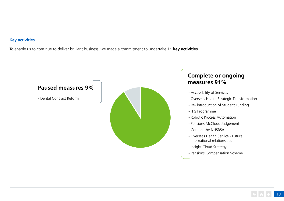## **Key activities**

To enable us to continue to deliver brilliant business, we made a commitment to undertake **11 key activities.**

![](_page_12_Figure_2.jpeg)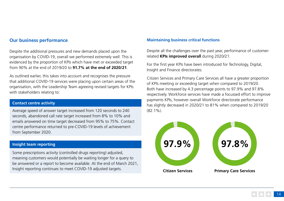## **Our business performance**

Despite the additional pressures and new demands placed upon the organisation by COVID-19, overall we performed extremely well. This is evidenced by the proportion of KPIs which have met or exceeded target from 90% at the end of 2019/20 to **91.7% at the end of 2020/21**.

As outlined earlier, this takes into account and recognises the pressure that additional COVID-19 services were placing upon certain areas of the organisation, with the Leadership Team agreeing revised targets for KPIs with stakeholders relating to:

## **Contact centre activity**

Average speed of answer target increased from 120 seconds to 240 seconds, abandoned call rate target increased from 8% to 10% and emails answered on time target decreased from 95% to 75%. Contact centre performance returned to pre-COVID-19 levels of achievement from September 2020.

## **Insight team reporting**

Some prescriptions activity (controlled drugs reporting) adjusted, meaning customers would potentially be waiting longer for a query to be answered or a report to become available. At the end of March 2021, Insight reporting continues to meet COVID-19 adjusted targets.

## **Maintaining business critical functions**

Despite all the challenges over the past year, performance of customerrelated **KPIs improved overall** during 2020/21.

For the first year KPIs have been introduced for Technology, Digital, Insight and Finance directorates.

Citizen Services and Primary Care Services all have a greater proportion of KPIs meeting or exceeding target when compared to 2019/20. Both have increased by 4.3 percentage points to 97.9% and 97.8% respectively. Workforce services have made a focussed effort to improve payments KPIs, however overall Workforce directorate performance has slightly decreased in 2020/21 to 81% when compared to 2019/20 (82.1%).

![](_page_13_Figure_11.jpeg)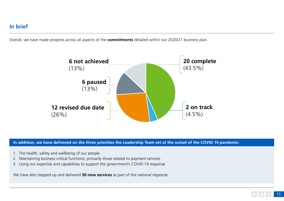## **In brief**

Overall, we have made progress across all aspects of the **commitments** detailed within our 2020/21 business plan.

![](_page_14_Figure_2.jpeg)

**In addition, we have delivered on the three priorities the Leadership Team set at the outset of the COVID 19 pandemic:**

- 1. The health, safety and wellbeing of our people
- 2. Maintaining business critical functions, primarily those related to payment services
- 3. Using our expertise and capabilities to support the government's COVID-19 response

We have also stepped up and delivered **50 new services** as part of the national response.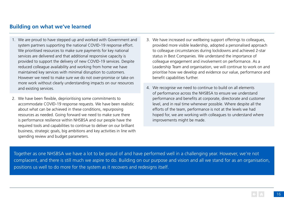## **Building on what we've learned**

- 1. We are proud to have stepped up and worked with Government and system partners supporting the national COVID-19 response effort. We prioritised resources to make sure payments for key national services are delivered and that additional responsive capacity is provided to support the delivery of new COVID-19 services. Despite reduced colleague availability and working from home we have maintained key services with minimal disruption to customers. However we need to make sure we do not over-promise or take on more work without clearly understanding impacts on our resources and existing services.
- 2. We have been flexible, deprioritising some commitments to accommodate COVID-19 response requests. We have been realistic about what can be achieved in these conditions, repurposing resources as needed. Going forward we need to make sure there is performance resilience within NHSBSA and our people have the required tools and capabilities to continue to deliver on our brilliant business, strategic goals, big ambitions and key activities in line with spending review and budget parameters.
- 3. We have increased our wellbeing support offerings to colleagues, provided more visible leadership, adopted a personalised approach to colleague circumstances during lockdowns and achieved 2-star status in Best Companies. We understand the importance of colleague engagement and involvement on performance. As a Leadership Team and organisation, we will continue to work on and prioritise how we develop and evidence our value, performance and benefit capabilities further.
- 4. We recognise we need to continue to build on all elements of performance across the NHSBSA to ensure we understand performance and benefits at corporate, directorate and customer level, and in real time whenever possible. Where despite all the efforts of the team, performance is not at the levels we had hoped for, we are working with colleagues to understand where improvements might be made.

Together as one NHSBSA we have a lot to be proud of and have performed well in a challenging year. However, we're not complacent, and there is still much we aspire to do. Building on our purpose and vision and all we stand for as an organisation, positions us well to do more for the system as it recovers and redesigns itself.